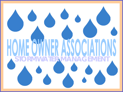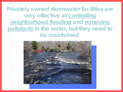**Privately owned stormwater facilities are very effective at controlling neighborhood flooding and removing pollutants in the water, but they** *need* **to be maintained**.

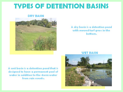# **TYPES OF DETENTION BASINS**

#### **DRY BASIN**



#### A dry basin is a detention pond with mowed turf grass in the bottom.

**WET BASIN** 

A wet basin is a detention pond that is designed to have a permanent pool of water in addition to the storm water from rain events.

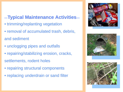### **—Typical Maintenance Activities—**

- trimming/replanting vegetation
- removal of accumulated trash, debris, and sediment
- unclogging pipes and outfalls
- repairing/stabilizing erosion, cracks,
- settlements, rodent holes
- repairing structural components
- replacing underdrain or sand filter





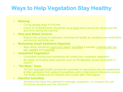## **Ways to Help Vegetation Stay Healthy**

#### • **Mowing**

- Cut no shorter than 6-8 inches
- Grass on embankments should be cut at least twice during the spring and fall and once during the summer

#### • **Pest and Weed Control**

– Reduce the amount of pollutants reaching the facility by avoiding over fertilization and excess pesticide use

#### • **Removing Small Sediment Deposits**

– Bare areas should be vigorously raked, backfilled if needed, covered with top soil, seeded and mulched.

#### • **Unwanted Vegetation**

- Consistent moving and monitoring will control any unwanted vegetation
- Be aware of invasive plant species such as Phragmited, purple loosestrife or autumn
- **"No Mow" Zone**
	- 25 Foot vegetated buffer around the perimeter of wet ponds may be established to filter pollutants from adjacent properties and to help prevent shoreline erosion. The buffer should only be mowed once a year after mid-August.

#### • **Harmful Activities**

– Activities that have the potential to damage vegetation, or compact the soil should be avoided near the structure.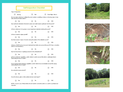|                                                                                                                                  |                                  |   | <b>Self Inspection Checklist</b> |   |   |                  |
|----------------------------------------------------------------------------------------------------------------------------------|----------------------------------|---|----------------------------------|---|---|------------------|
| Type of Inspection                                                                                                               |                                  |   |                                  |   |   |                  |
| П                                                                                                                                | Spring                           | п | Fall                             | П |   | Post Major Storm |
| Are any pipes entering or exiting the pond cracked, crumbling, broken or showing signs of any<br>other structural deterioration? |                                  |   |                                  |   |   |                  |
| п                                                                                                                                | Yes                              | п | No                               |   | п | N/A              |
| Has sediment collected in the storm sewer and catch basins upstream from the pond?                                               |                                  |   |                                  |   |   |                  |
| п                                                                                                                                | Yes                              | п | No                               |   | П | N/A              |
| Is there evidence of oil, grease or any hazardous materials entering the pond?                                                   |                                  |   |                                  |   |   |                  |
| п                                                                                                                                | Yes                              | п | No                               |   | п | N/A              |
|                                                                                                                                  | is there excessive algae growth? |   |                                  |   |   |                  |
| п                                                                                                                                | Yes                              | П | No                               |   | П | N/A              |
| Are there areas or signs of erosion along the banks of the detention pond?                                                       |                                  |   |                                  |   |   |                  |
| п                                                                                                                                | Yes                              | п | No                               |   | п | N/A              |
| is there a 15-25 foot no-mow and chemical-free buffer zone around the pond? (if yes, corrective<br>action is not necessary.)     |                                  |   |                                  |   |   |                  |
| п                                                                                                                                | Yes                              | п | No                               |   | п | N/A              |
| Has Are there trees or saplings present on the embankment?                                                                       |                                  |   |                                  |   |   |                  |
| п                                                                                                                                | Yes                              | П | No                               |   | П | N/A              |
| Is there sediment, vegetation, and/or debris in and/or around the inlet or outlet pipe that is<br>obstructing the flow of water? |                                  |   |                                  |   |   |                  |
| п                                                                                                                                | Yes                              | п | No                               |   | п | N/A              |
| Does it appear that sediment, vegetation, and/or debris has accumulated around the riprap,<br>obstructing the flow of water?     |                                  |   |                                  |   |   |                  |
|                                                                                                                                  | Yes                              | п | No                               |   | п | N/A              |
| Are animal borrows present?                                                                                                      |                                  |   |                                  |   |   |                  |
|                                                                                                                                  | Yes                              | П | No                               |   | П | N/A              |
| Does the fence, gate or other safety devices need repair?                                                                        |                                  |   |                                  |   |   |                  |
| п                                                                                                                                | Yes                              | п | No                               |   | п | N/A              |
| NOTE: A yes to any of these items should result in corrective action or a call to a professional                                 |                                  |   |                                  |   |   |                  |

inspector.

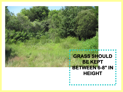| У.                                                              |
|-----------------------------------------------------------------|
| <b>GRASS SHOULD</b><br><b>BE KEPT</b><br><b>BETWEEN 6-8" IN</b> |
| <b>HEIGHT</b>                                                   |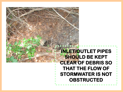## **INLET/OUTLET PIPES SHOULD BE KEPT CLEAR OF DEBRIS SO THAT THE FLOW OF STORMWATER IS NOT OBSTRUCTED**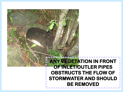### **ANY VEGETATION IN FRONT OF INLET/OUTLER PIPES OBSTRUCTS THE FLOW OF STORMWATER AND SHOULD BE REMOVED**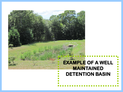## **EXAMPLE OF A WELL MAINTAINED DETENTION BASIN**